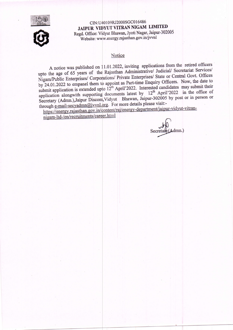



CIN:U40109RJ2000SGC016486 JAIPUR VIDYUT VITRAN NIGAM LIMITED Regd. Office: Vidyut Bhawan, Jyoti Nagar, Jaipur-302005 Website: www.energy.rajasthan.gov.in/jvvnl

## Notice

A notice was published on 11.01.2022, inviting applications from the retired officers upto the age of 65 years of the Rajasthan Administrative/ Judicial/ Secretariat Services/ Nigam/Public Enterprises/ Corporations/ Private Enterprises/ State or Central Govt. Offices by 24.01.2022 to empanel them to appoint as Part-time Enquiry Officers. Now, the date to submit application is extended upto  $12^{th}$  April'2022. Interested candidates may submit their application alongwith supporting documents latest by 12<sup>th</sup> April'2022 in the office of Secretary (Admn.), Jaipur Discom, Vidyut Bhawan, Jaipur-302005 by post or in person or through e-mail-secyadmn@jvvnl.org. For more details please visit:-

https://energy.rajasthan.gov.in/content/raj/energy-department/jaipur-vidyut-vitrannigam-ltd-/en/recruitments/career.html

 $\lambda$ dmn.) Secretar